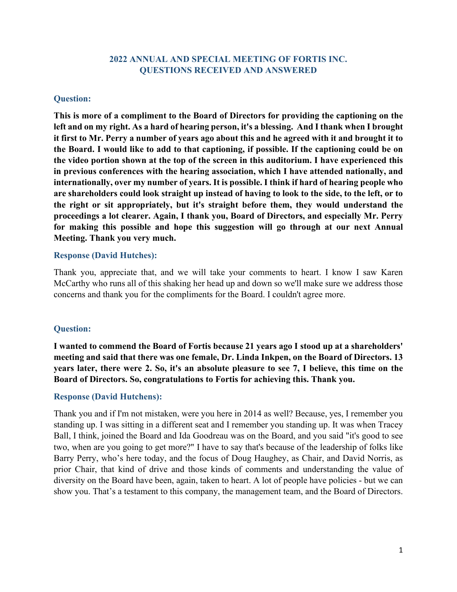### **2022 ANNUAL AND SPECIAL MEETING OF FORTIS INC. QUESTIONS RECEIVED AND ANSWERED**

### **Question:**

**This is more of a compliment to the Board of Directors for providing the captioning on the left and on my right. As a hard of hearing person, it's a blessing. And I thank when I brought it first to Mr. Perry a number of years ago about this and he agreed with it and brought it to the Board. I would like to add to that captioning, if possible. If the captioning could be on the video portion shown at the top of the screen in this auditorium. I have experienced this in previous conferences with the hearing association, which I have attended nationally, and internationally, over my number of years. It is possible. I think if hard of hearing people who are shareholders could look straight up instead of having to look to the side, to the left, or to the right or sit appropriately, but it's straight before them, they would understand the proceedings a lot clearer. Again, I thank you, Board of Directors, and especially Mr. Perry for making this possible and hope this suggestion will go through at our next Annual Meeting. Thank you very much.**

### **Response (David Hutches):**

Thank you, appreciate that, and we will take your comments to heart. I know I saw Karen McCarthy who runs all of this shaking her head up and down so we'll make sure we address those concerns and thank you for the compliments for the Board. I couldn't agree more.

### **Question:**

**I wanted to commend the Board of Fortis because 21 years ago I stood up at a shareholders' meeting and said that there was one female, Dr. Linda Inkpen, on the Board of Directors. 13 years later, there were 2. So, it's an absolute pleasure to see 7, I believe, this time on the Board of Directors. So, congratulations to Fortis for achieving this. Thank you.**

### **Response (David Hutchens):**

Thank you and if I'm not mistaken, were you here in 2014 as well? Because, yes, I remember you standing up. I was sitting in a different seat and I remember you standing up. It was when Tracey Ball, I think, joined the Board and Ida Goodreau was on the Board, and you said "it's good to see two, when are you going to get more?" I have to say that's because of the leadership of folks like Barry Perry, who's here today, and the focus of Doug Haughey, as Chair, and David Norris, as prior Chair, that kind of drive and those kinds of comments and understanding the value of diversity on the Board have been, again, taken to heart. A lot of people have policies - but we can show you. That's a testament to this company, the management team, and the Board of Directors.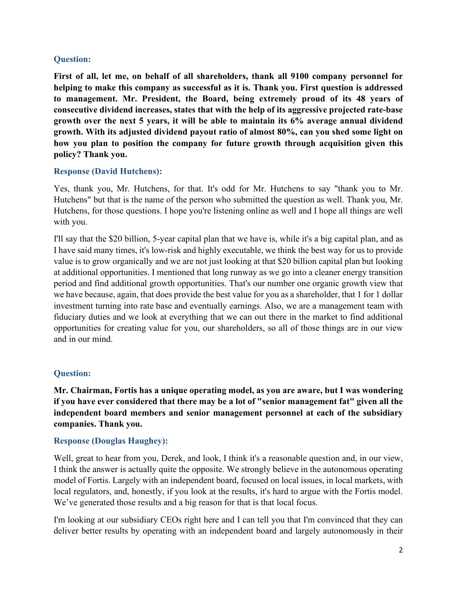### **Question:**

**First of all, let me, on behalf of all shareholders, thank all 9100 company personnel for helping to make this company as successful as it is. Thank you. First question is addressed to management. Mr. President, the Board, being extremely proud of its 48 years of consecutive dividend increases, states that with the help of its aggressive projected rate-base growth over the next 5 years, it will be able to maintain its 6% average annual dividend growth. With its adjusted dividend payout ratio of almost 80%, can you shed some light on how you plan to position the company for future growth through acquisition given this policy? Thank you.**

### **Response (David Hutchens):**

Yes, thank you, Mr. Hutchens, for that. It's odd for Mr. Hutchens to say "thank you to Mr. Hutchens" but that is the name of the person who submitted the question as well. Thank you, Mr. Hutchens, for those questions. I hope you're listening online as well and I hope all things are well with you.

I'll say that the \$20 billion, 5-year capital plan that we have is, while it's a big capital plan, and as I have said many times, it's low-risk and highly executable, we think the best way for us to provide value is to grow organically and we are not just looking at that \$20 billion capital plan but looking at additional opportunities. I mentioned that long runway as we go into a cleaner energy transition period and find additional growth opportunities. That's our number one organic growth view that we have because, again, that does provide the best value for you as a shareholder, that 1 for 1 dollar investment turning into rate base and eventually earnings. Also, we are a management team with fiduciary duties and we look at everything that we can out there in the market to find additional opportunities for creating value for you, our shareholders, so all of those things are in our view and in our mind.

### **Question:**

**Mr. Chairman, Fortis has a unique operating model, as you are aware, but I was wondering if you have ever considered that there may be a lot of "senior management fat" given all the independent board members and senior management personnel at each of the subsidiary companies. Thank you.**

### **Response (Douglas Haughey):**

Well, great to hear from you, Derek, and look, I think it's a reasonable question and, in our view, I think the answer is actually quite the opposite. We strongly believe in the autonomous operating model of Fortis. Largely with an independent board, focused on local issues, in local markets, with local regulators, and, honestly, if you look at the results, it's hard to argue with the Fortis model. We've generated those results and a big reason for that is that local focus.

I'm looking at our subsidiary CEOs right here and I can tell you that I'm convinced that they can deliver better results by operating with an independent board and largely autonomously in their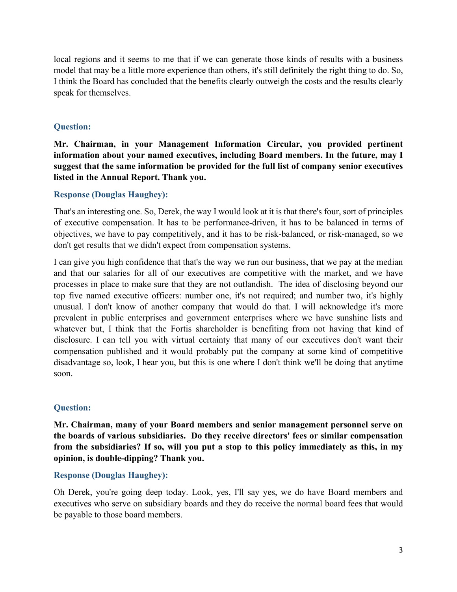local regions and it seems to me that if we can generate those kinds of results with a business model that may be a little more experience than others, it's still definitely the right thing to do. So, I think the Board has concluded that the benefits clearly outweigh the costs and the results clearly speak for themselves.

## **Question:**

**Mr. Chairman, in your Management Information Circular, you provided pertinent information about your named executives, including Board members. In the future, may I suggest that the same information be provided for the full list of company senior executives listed in the Annual Report. Thank you.** 

## **Response (Douglas Haughey):**

That's an interesting one. So, Derek, the way I would look at it is that there's four, sort of principles of executive compensation. It has to be performance-driven, it has to be balanced in terms of objectives, we have to pay competitively, and it has to be risk-balanced, or risk-managed, so we don't get results that we didn't expect from compensation systems.

I can give you high confidence that that's the way we run our business, that we pay at the median and that our salaries for all of our executives are competitive with the market, and we have processes in place to make sure that they are not outlandish. The idea of disclosing beyond our top five named executive officers: number one, it's not required; and number two, it's highly unusual. I don't know of another company that would do that. I will acknowledge it's more prevalent in public enterprises and government enterprises where we have sunshine lists and whatever but, I think that the Fortis shareholder is benefiting from not having that kind of disclosure. I can tell you with virtual certainty that many of our executives don't want their compensation published and it would probably put the company at some kind of competitive disadvantage so, look, I hear you, but this is one where I don't think we'll be doing that anytime soon.

# **Question:**

**Mr. Chairman, many of your Board members and senior management personnel serve on the boards of various subsidiaries. Do they receive directors' fees or similar compensation from the subsidiaries? If so, will you put a stop to this policy immediately as this, in my opinion, is double-dipping? Thank you.**

### **Response (Douglas Haughey):**

Oh Derek, you're going deep today. Look, yes, I'll say yes, we do have Board members and executives who serve on subsidiary boards and they do receive the normal board fees that would be payable to those board members.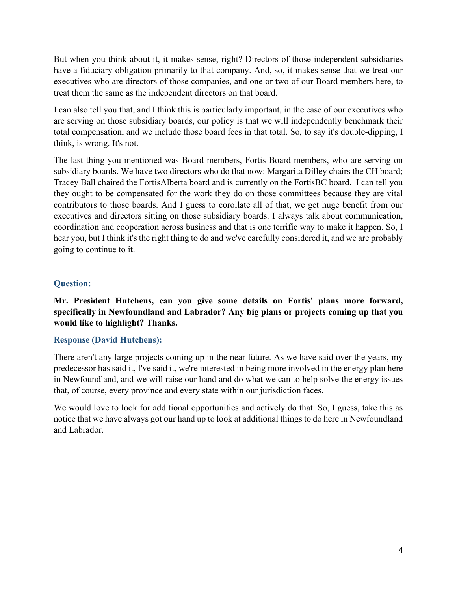But when you think about it, it makes sense, right? Directors of those independent subsidiaries have a fiduciary obligation primarily to that company. And, so, it makes sense that we treat our executives who are directors of those companies, and one or two of our Board members here, to treat them the same as the independent directors on that board.

I can also tell you that, and I think this is particularly important, in the case of our executives who are serving on those subsidiary boards, our policy is that we will independently benchmark their total compensation, and we include those board fees in that total. So, to say it's double-dipping, I think, is wrong. It's not.

The last thing you mentioned was Board members, Fortis Board members, who are serving on subsidiary boards. We have two directors who do that now: Margarita Dilley chairs the CH board; Tracey Ball chaired the FortisAlberta board and is currently on the FortisBC board. I can tell you they ought to be compensated for the work they do on those committees because they are vital contributors to those boards. And I guess to corollate all of that, we get huge benefit from our executives and directors sitting on those subsidiary boards. I always talk about communication, coordination and cooperation across business and that is one terrific way to make it happen. So, I hear you, but I think it's the right thing to do and we've carefully considered it, and we are probably going to continue to it.

## **Question:**

## **Mr. President Hutchens, can you give some details on Fortis' plans more forward, specifically in Newfoundland and Labrador? Any big plans or projects coming up that you would like to highlight? Thanks.**

### **Response (David Hutchens):**

There aren't any large projects coming up in the near future. As we have said over the years, my predecessor has said it, I've said it, we're interested in being more involved in the energy plan here in Newfoundland, and we will raise our hand and do what we can to help solve the energy issues that, of course, every province and every state within our jurisdiction faces.

We would love to look for additional opportunities and actively do that. So, I guess, take this as notice that we have always got our hand up to look at additional things to do here in Newfoundland and Labrador.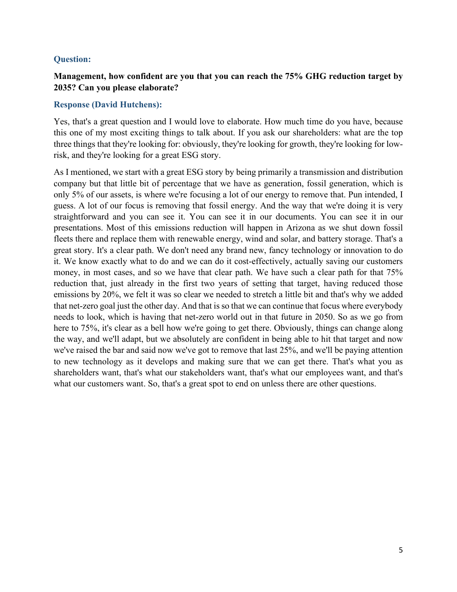### **Question:**

## **Management, how confident are you that you can reach the 75% GHG reduction target by 2035? Can you please elaborate?**

### **Response (David Hutchens):**

Yes, that's a great question and I would love to elaborate. How much time do you have, because this one of my most exciting things to talk about. If you ask our shareholders: what are the top three things that they're looking for: obviously, they're looking for growth, they're looking for lowrisk, and they're looking for a great ESG story.

As I mentioned, we start with a great ESG story by being primarily a transmission and distribution company but that little bit of percentage that we have as generation, fossil generation, which is only 5% of our assets, is where we're focusing a lot of our energy to remove that. Pun intended, I guess. A lot of our focus is removing that fossil energy. And the way that we're doing it is very straightforward and you can see it. You can see it in our documents. You can see it in our presentations. Most of this emissions reduction will happen in Arizona as we shut down fossil fleets there and replace them with renewable energy, wind and solar, and battery storage. That's a great story. It's a clear path. We don't need any brand new, fancy technology or innovation to do it. We know exactly what to do and we can do it cost-effectively, actually saving our customers money, in most cases, and so we have that clear path. We have such a clear path for that 75% reduction that, just already in the first two years of setting that target, having reduced those emissions by 20%, we felt it was so clear we needed to stretch a little bit and that's why we added that net-zero goal just the other day. And that is so that we can continue that focus where everybody needs to look, which is having that net-zero world out in that future in 2050. So as we go from here to 75%, it's clear as a bell how we're going to get there. Obviously, things can change along the way, and we'll adapt, but we absolutely are confident in being able to hit that target and now we've raised the bar and said now we've got to remove that last 25%, and we'll be paying attention to new technology as it develops and making sure that we can get there. That's what you as shareholders want, that's what our stakeholders want, that's what our employees want, and that's what our customers want. So, that's a great spot to end on unless there are other questions.